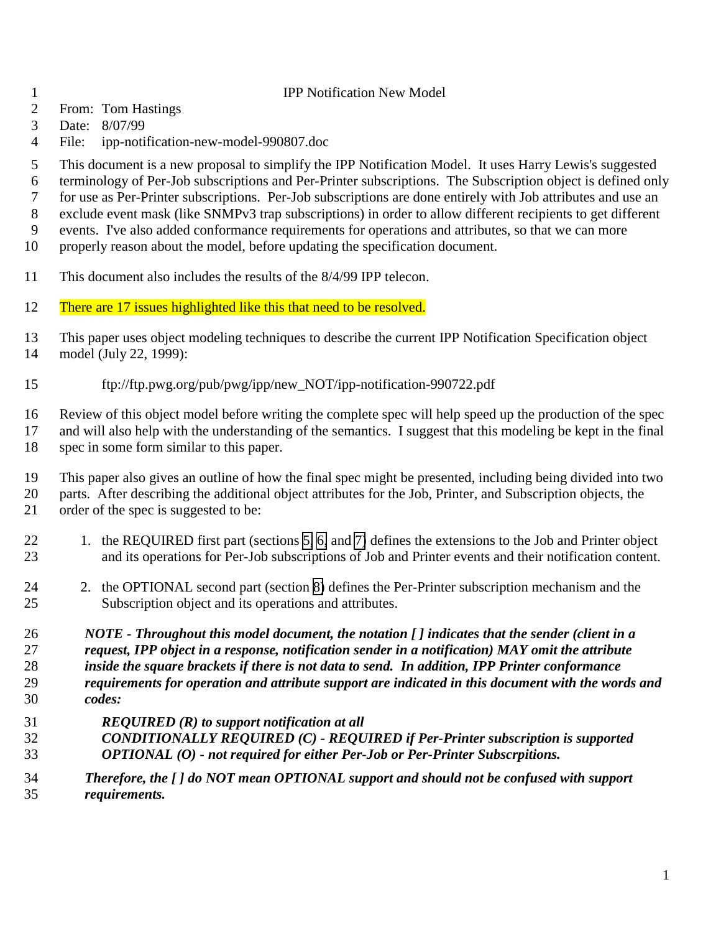- IPP Notification New Model
- From: Tom Hastings
- Date: 8/07/99
- File: ipp-notification-new-model-990807.doc
- This document is a new proposal to simplify the IPP Notification Model. It uses Harry Lewis's suggested
- terminology of Per-Job subscriptions and Per-Printer subscriptions. The Subscription object is defined only
- for use as Per-Printer subscriptions. Per-Job subscriptions are done entirely with Job attributes and use an
- exclude event mask (like SNMPv3 trap subscriptions) in order to allow different recipients to get different
- events. I've also added conformance requirements for operations and attributes, so that we can more
- properly reason about the model, before updating the specification document.
- This document also includes the results of the 8/4/99 IPP telecon.
- 12 There are 17 issues highlighted like this that need to be resolved.
- This paper uses object modeling techniques to describe the current IPP Notification Specification object model (July 22, 1999):
- ftp://ftp.pwg.org/pub/pwg/ipp/new\_NOT/ipp-notification-990722.pdf

 Review of this object model before writing the complete spec will help speed up the production of the spec and will also help with the understanding of the semantics. I suggest that this modeling be kept in the final spec in some form similar to this paper.

- This paper also gives an outline of how the final spec might be presented, including being divided into two parts. After describing the additional object attributes for the Job, Printer, and Subscription objects, the order of the spec is suggested to be:
- 22 1. the REQUIRED first part (sections [5,](#page-8-0) [6,](#page-9-0) and [7\)](#page-11-0) defines the extensions to the Job and Printer object and its operations for Per-Job subscriptions of Job and Printer events and their notification content.
- 24 2. the OPTIONAL second part (section [8\)](#page-12-0) defines the Per-Printer subscription mechanism and the Subscription object and its operations and attributes.

 *NOTE - Throughout this model document, the notation [ ] indicates that the sender (client in a request, IPP object in a response, notification sender in a notification) MAY omit the attribute inside the square brackets if there is not data to send. In addition, IPP Printer conformance requirements for operation and attribute support are indicated in this document with the words and codes:*

- *REQUIRED (R) to support notification at all*
- *CONDITIONALLY REQUIRED (C) REQUIRED if Per-Printer subscription is supported OPTIONAL (O) - not required for either Per-Job or Per-Printer Subscrpitions.*
- *Therefore, the [ ] do NOT mean OPTIONAL support and should not be confused with support requirements.*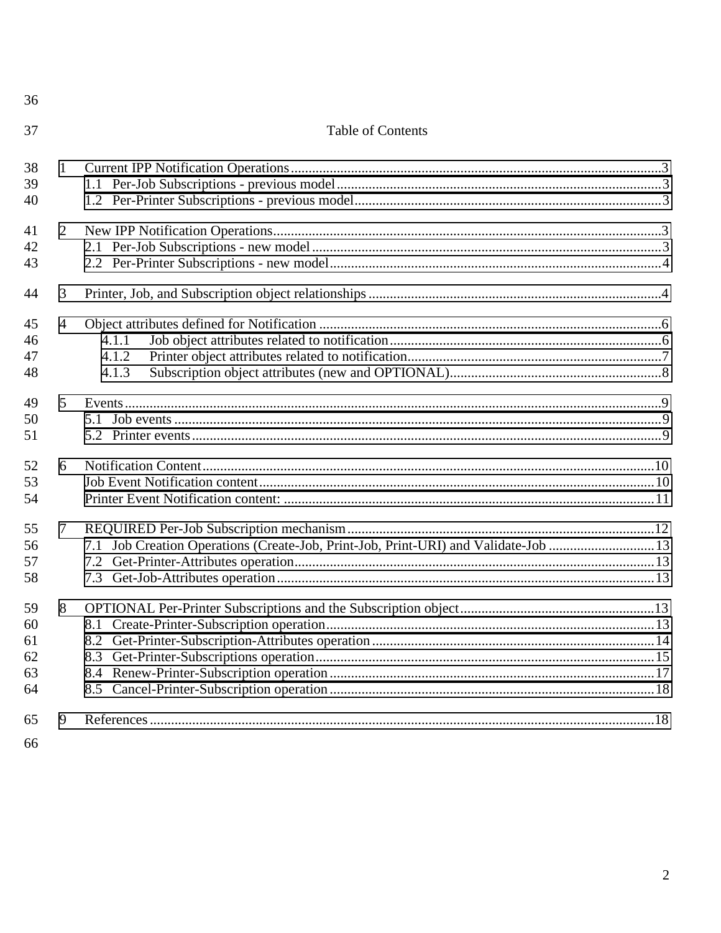| 36                               |                |                                                                                    |  |
|----------------------------------|----------------|------------------------------------------------------------------------------------|--|
| 37                               |                | <b>Table of Contents</b>                                                           |  |
| 38<br>39<br>40                   | $\mathbf{1}$   |                                                                                    |  |
| 41<br>42<br>43                   | $\overline{2}$ |                                                                                    |  |
| 44                               | 3              |                                                                                    |  |
| 45<br>46<br>47<br>48             | $\overline{4}$ | 4.1.1<br>4.1.2<br>4.1.3                                                            |  |
| 49<br>50<br>51                   | 5              |                                                                                    |  |
| 52<br>53<br>54                   | 6              |                                                                                    |  |
| 55<br>56<br>57<br>58             | 7              | 7.1 Job Creation Operations (Create-Job, Print-Job, Print-URI) and Validate-Job 13 |  |
| 59<br>60<br>61<br>62<br>63<br>64 | 8              |                                                                                    |  |
| 65<br>66                         | 9              |                                                                                    |  |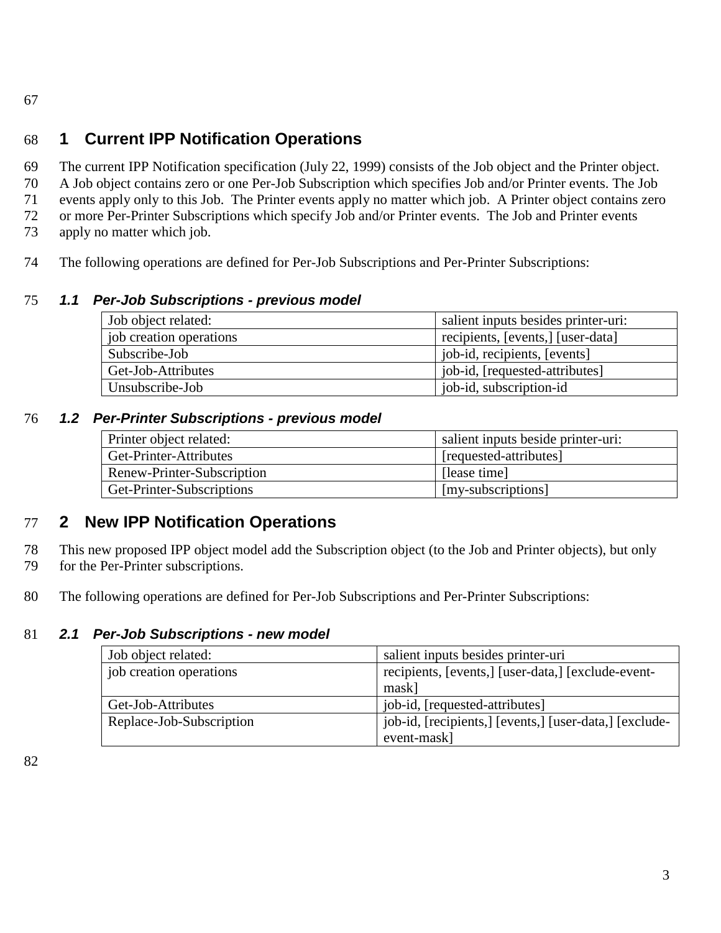<span id="page-2-0"></span>67

# 68 **1 Current IPP Notification Operations**

 The current IPP Notification specification (July 22, 1999) consists of the Job object and the Printer object. A Job object contains zero or one Per-Job Subscription which specifies Job and/or Printer events. The Job events apply only to this Job. The Printer events apply no matter which job. A Printer object contains zero or more Per-Printer Subscriptions which specify Job and/or Printer events. The Job and Printer events

- 73 apply no matter which job.
- 74 The following operations are defined for Per-Job Subscriptions and Per-Printer Subscriptions:

## 75 *1.1 Per-Job Subscriptions - previous model*

| Job object related:     | salient inputs besides printer-uri: |
|-------------------------|-------------------------------------|
| job creation operations | recipients, [events,] [user-data]   |
| Subscribe-Job           | job-id, recipients, [events]        |
| Get-Job-Attributes      | job-id, [requested-attributes]      |
| Unsubscribe-Job         | job-id, subscription-id             |

## 76 *1.2 Per-Printer Subscriptions - previous model*

| Printer object related:    | salient inputs beside printer-uri: |
|----------------------------|------------------------------------|
| Get-Printer-Attributes     | [requested-attributes]             |
| Renew-Printer-Subscription | [lease time]                       |
| Get-Printer-Subscriptions  | [my-subscriptions]                 |

# 77 **2 New IPP Notification Operations**

78 This new proposed IPP object model add the Subscription object (to the Job and Printer objects), but only 79 for the Per-Printer subscriptions.

80 The following operations are defined for Per-Job Subscriptions and Per-Printer Subscriptions:

## 81 *2.1 Per-Job Subscriptions - new model*

| Job object related:                                                           | salient inputs besides printer-uri                     |
|-------------------------------------------------------------------------------|--------------------------------------------------------|
| job creation operations<br>recipients, [events,] [user-data,] [exclude-event- |                                                        |
|                                                                               | mask]                                                  |
| Get-Job-Attributes                                                            | job-id, [requested-attributes]                         |
| Replace-Job-Subscription                                                      | job-id, [recipients,] [events,] [user-data,] [exclude- |
|                                                                               | event-mask]                                            |

82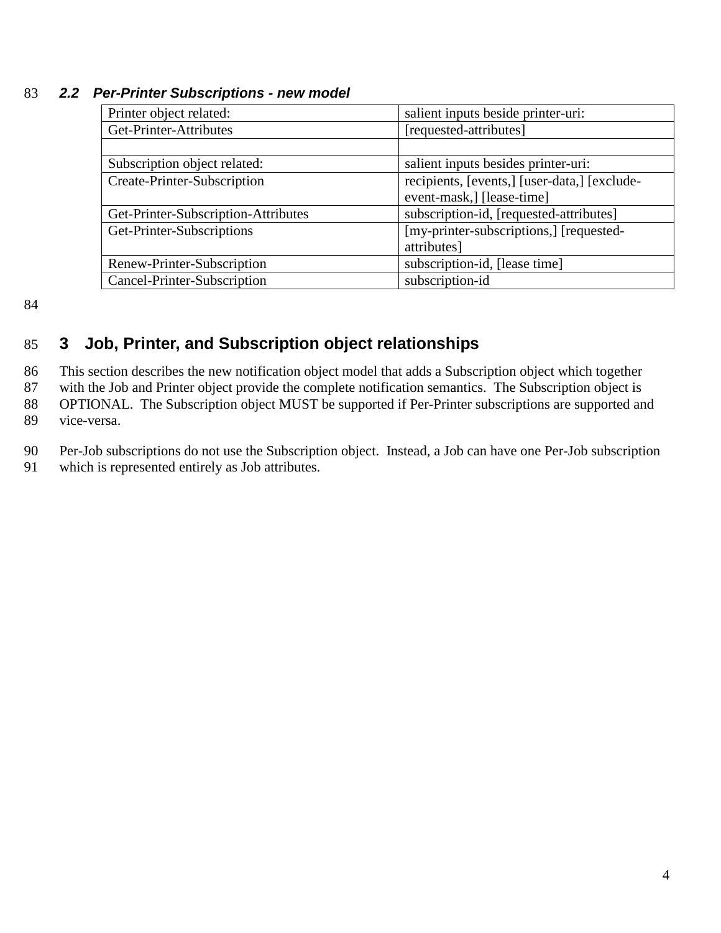| Printer object related:             | salient inputs beside printer-uri:           |
|-------------------------------------|----------------------------------------------|
| Get-Printer-Attributes              | [requested-attributes]                       |
|                                     |                                              |
| Subscription object related:        | salient inputs besides printer-uri:          |
| Create-Printer-Subscription         | recipients, [events,] [user-data,] [exclude- |
|                                     | event-mask,] [lease-time]                    |
| Get-Printer-Subscription-Attributes | subscription-id, [requested-attributes]      |
| Get-Printer-Subscriptions           | [my-printer-subscriptions,] [requested-      |
|                                     | attributes]                                  |
| Renew-Printer-Subscription          | subscription-id, [lease time]                |
| Cancel-Printer-Subscription         | subscription-id                              |

#### <span id="page-3-0"></span>83 *2.2 Per-Printer Subscriptions - new model*

84

# 85 **3 Job, Printer, and Subscription object relationships**

86 This section describes the new notification object model that adds a Subscription object which together

87 with the Job and Printer object provide the complete notification semantics. The Subscription object is

88 OPTIONAL. The Subscription object MUST be supported if Per-Printer subscriptions are supported and

89 vice-versa.

90 Per-Job subscriptions do not use the Subscription object. Instead, a Job can have one Per-Job subscription 91 which is represented entirely as Job attributes.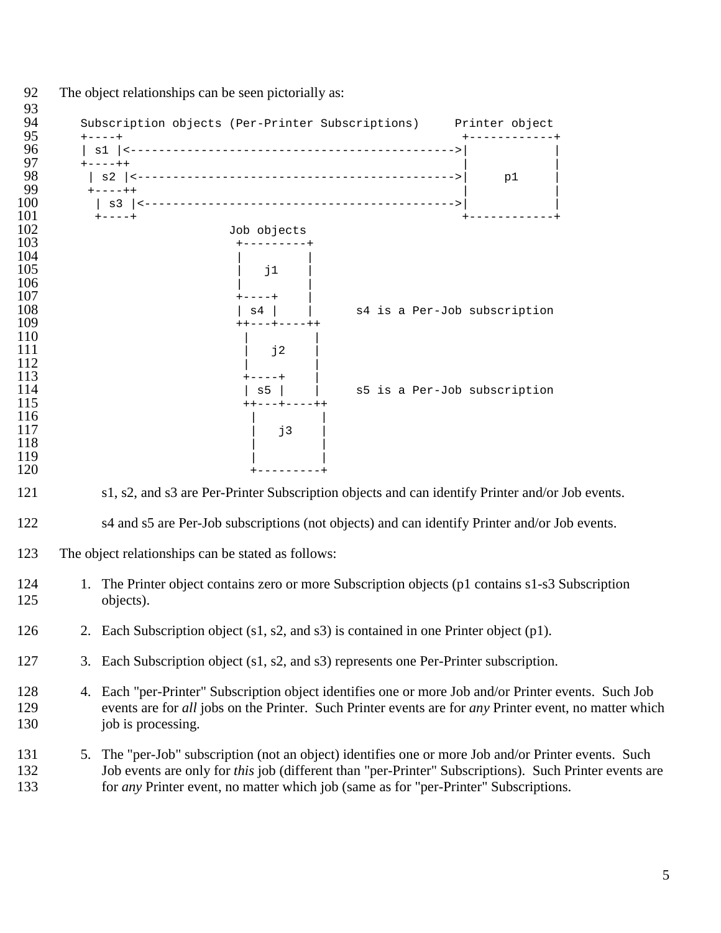| 93<br>94                        |    | Subscription objects (Per-Printer Subscriptions) Printer object                                                                                                                                                                                                                                            |
|---------------------------------|----|------------------------------------------------------------------------------------------------------------------------------------------------------------------------------------------------------------------------------------------------------------------------------------------------------------|
| 95<br>96                        |    | $+ - - - +$                                                                                                                                                                                                                                                                                                |
| 97<br>98                        |    | $+ - - - + +$<br>p1                                                                                                                                                                                                                                                                                        |
| 99<br>100                       |    | $+ - - - + +$                                                                                                                                                                                                                                                                                              |
| 101<br>102<br>103               |    | Job objects                                                                                                                                                                                                                                                                                                |
| 104<br>105<br>106<br>107<br>108 |    | j1<br>s4 is a Per-Job subscription<br>$s4$                                                                                                                                                                                                                                                                 |
| 109<br>110                      |    | ---+----++                                                                                                                                                                                                                                                                                                 |
| 111<br>112<br>113<br>114<br>115 |    | j2<br>s5 is a Per-Job subscription<br>s5<br>++---+----++                                                                                                                                                                                                                                                   |
| 116<br>117<br>118<br>119<br>120 |    | j3                                                                                                                                                                                                                                                                                                         |
| 121                             |    | s1, s2, and s3 are Per-Printer Subscription objects and can identify Printer and/or Job events.                                                                                                                                                                                                            |
| 122                             |    | s4 and s5 are Per-Job subscriptions (not objects) and can identify Printer and/or Job events.                                                                                                                                                                                                              |
| 123                             |    | The object relationships can be stated as follows:                                                                                                                                                                                                                                                         |
| 124<br>125                      |    | 1. The Printer object contains zero or more Subscription objects (p1 contains s1-s3 Subscription<br>objects).                                                                                                                                                                                              |
| 126                             |    | 2. Each Subscription object (s1, s2, and s3) is contained in one Printer object (p1).                                                                                                                                                                                                                      |
| 127                             |    | 3. Each Subscription object (s1, s2, and s3) represents one Per-Printer subscription.                                                                                                                                                                                                                      |
| 128<br>129<br>130               |    | 4. Each "per-Printer" Subscription object identifies one or more Job and/or Printer events. Such Job<br>events are for all jobs on the Printer. Such Printer events are for any Printer event, no matter which<br>job is processing.                                                                       |
| 131<br>132<br>133               | 5. | The "per-Job" subscription (not an object) identifies one or more Job and/or Printer events. Such<br>Job events are only for this job (different than "per-Printer" Subscriptions). Such Printer events are<br>for <i>any</i> Printer event, no matter which job (same as for "per-Printer" Subscriptions. |
|                                 |    |                                                                                                                                                                                                                                                                                                            |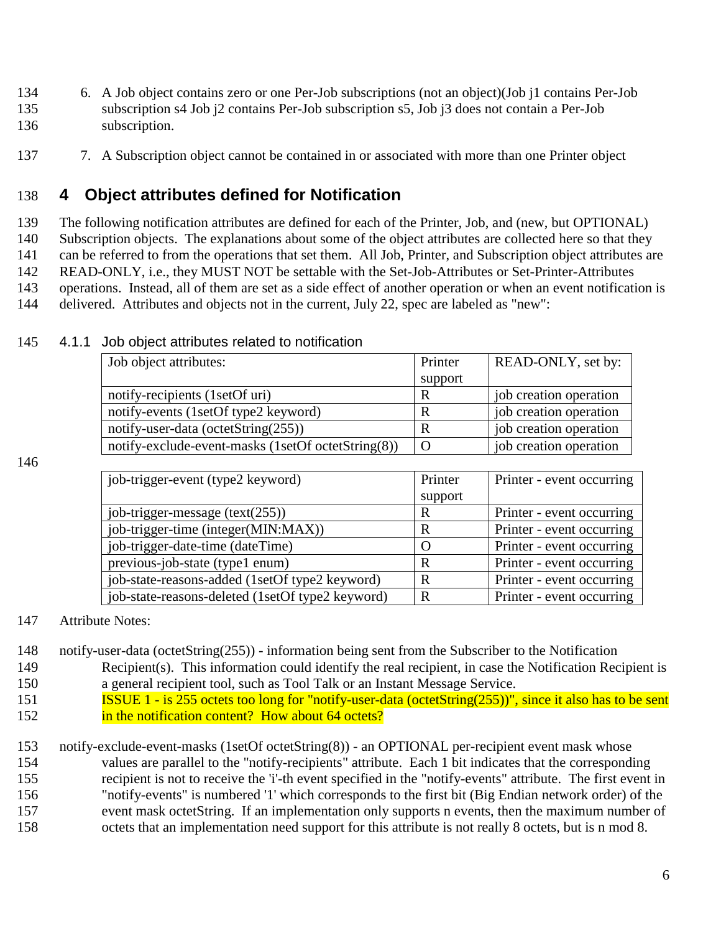- <span id="page-5-0"></span>134 6. A Job object contains zero or one Per-Job subscriptions (not an object)(Job j1 contains Per-Job 135 subscription s4 Job j2 contains Per-Job subscription s5, Job j3 does not contain a Per-Job 136 subscription.
- 137 7. A Subscription object cannot be contained in or associated with more than one Printer object

# 138 **4 Object attributes defined for Notification**

 The following notification attributes are defined for each of the Printer, Job, and (new, but OPTIONAL) Subscription objects. The explanations about some of the object attributes are collected here so that they can be referred to from the operations that set them. All Job, Printer, and Subscription object attributes are READ-ONLY, i.e., they MUST NOT be settable with the Set-Job-Attributes or Set-Printer-Attributes operations. Instead, all of them are set as a side effect of another operation or when an event notification is delivered. Attributes and objects not in the current, July 22, spec are labeled as "new":

| Job object attributes:                             | Printer  | READ-ONLY, set by:     |
|----------------------------------------------------|----------|------------------------|
|                                                    | support  |                        |
| notify-recipients (1setOf uri)                     |          | job creation operation |
| notify-events (1setOf type2 keyword)               |          | job creation operation |
| notify-user-data (octetString $(255)$ )            |          | job creation operation |
| notify-exclude-event-masks (1setOf octetString(8)) | $\Omega$ | job creation operation |

### 145 4.1.1 Job object attributes related to notification

146

| job-trigger-event (type2 keyword)                | Printer | Printer - event occurring |
|--------------------------------------------------|---------|---------------------------|
|                                                  | support |                           |
| job-trigger-message $(text(255))$                | R       | Printer - event occurring |
| job-trigger-time (integer(MIN:MAX))              | R       | Printer - event occurring |
| job-trigger-date-time (dateTime)                 |         | Printer - event occurring |
| previous-job-state (type1 enum)                  | R       | Printer - event occurring |
| job-state-reasons-added (1setOf type2 keyword)   | R       | Printer - event occurring |
| job-state-reasons-deleted (1setOf type2 keyword) | R       | Printer - event occurring |

- 147 Attribute Notes:
- 148 notify-user-data (octetString(255)) information being sent from the Subscriber to the Notification 149 Recipient(s). This information could identify the real recipient, in case the Notification Recipient is 150 a general recipient tool, such as Tool Talk or an Instant Message Service.
- 151 **ISSUE 1 is 255 octets too long for "notify-user-data (octetString(255))", since it also has to be sent** 152 **in the notification content?** How about 64 octets?
- 153 notify-exclude-event-masks (1setOf octetString(8)) an OPTIONAL per-recipient event mask whose 154 values are parallel to the "notify-recipients" attribute. Each 1 bit indicates that the corresponding 155 recipient is not to receive the 'i'-th event specified in the "notify-events" attribute. The first event in 156 "notify-events" is numbered '1' which corresponds to the first bit (Big Endian network order) of the 157 event mask octetString. If an implementation only supports n events, then the maximum number of 158 octets that an implementation need support for this attribute is not really 8 octets, but is n mod 8.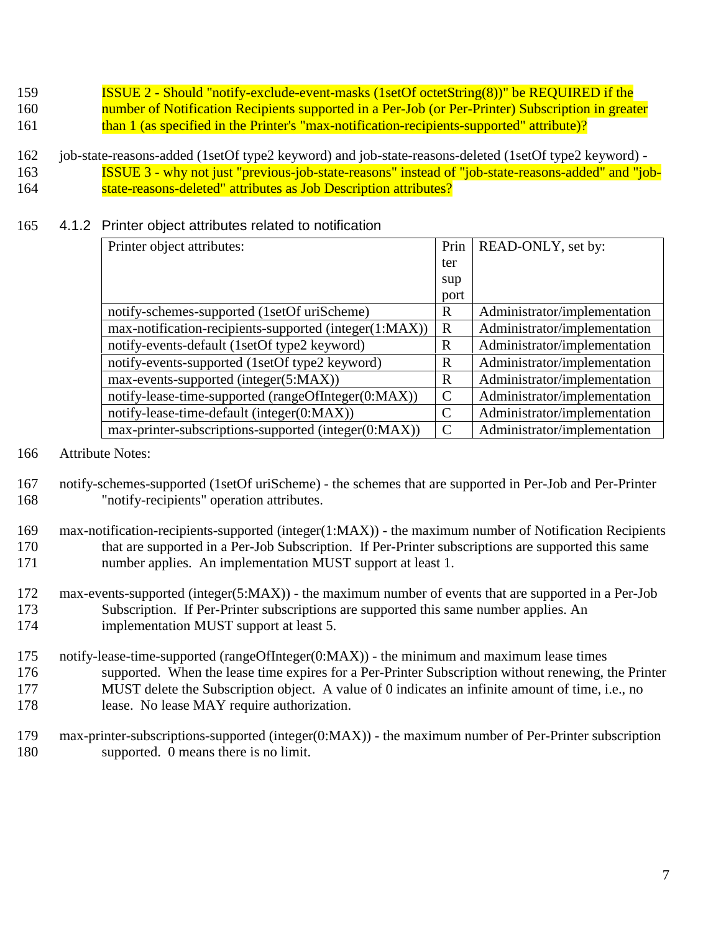- <span id="page-6-0"></span>159 ISSUE 2 - Should "notify-exclude-event-masks (1setOf octetString(8))" be REQUIRED if the 160 number of Notification Recipients supported in a Per-Job (or Per-Printer) Subscription in greater
- 161 than 1 (as specified in the Printer's "max-notification-recipients-supported" attribute)?
- 162 job-state-reasons-added (1setOf type2 keyword) and job-state-reasons-deleted (1setOf type2 keyword) 163 ISSUE 3 - why not just "previous-job-state-reasons" instead of "job-state-reasons-added" and "job-164 state-reasons-deleted" attributes as Job Description attributes?

### 165 4.1.2 Printer object attributes related to notification

| Printer object attributes:                             | Prin          | READ-ONLY, set by:           |
|--------------------------------------------------------|---------------|------------------------------|
|                                                        | ter           |                              |
|                                                        | sup           |                              |
|                                                        | port          |                              |
| notify-schemes-supported (1setOf uriScheme)            | R             | Administrator/implementation |
| max-notification-recipients-supported (integer(1:MAX)) | R             | Administrator/implementation |
| notify-events-default (1setOf type2 keyword)           | $\mathbf R$   | Administrator/implementation |
| notify-events-supported (1setOf type2 keyword)         | $\mathbf R$   | Administrator/implementation |
| max-events-supported (integer(5:MAX))                  | R             | Administrator/implementation |
| notify-lease-time-supported (rangeOfInteger(0:MAX))    | $\mathcal{C}$ | Administrator/implementation |
| notify-lease-time-default (integer(0:MAX))             | $\mathcal{C}$ | Administrator/implementation |
| max-printer-subscriptions-supported (integer(0:MAX))   | C             | Administrator/implementation |

- 166 Attribute Notes:
- 167 notify-schemes-supported (1setOf uriScheme) the schemes that are supported in Per-Job and Per-Printer 168 "notify-recipients" operation attributes.
- 169 max-notification-recipients-supported (integer(1:MAX)) the maximum number of Notification Recipients 170 that are supported in a Per-Job Subscription. If Per-Printer subscriptions are supported this same 171 number applies. An implementation MUST support at least 1.
- 172 max-events-supported (integer(5:MAX)) the maximum number of events that are supported in a Per-Job 173 Subscription. If Per-Printer subscriptions are supported this same number applies. An 174 implementation MUST support at least 5.
- 175 notify-lease-time-supported (rangeOfInteger(0:MAX)) the minimum and maximum lease times 176 supported. When the lease time expires for a Per-Printer Subscription without renewing, the Printer 177 MUST delete the Subscription object. A value of 0 indicates an infinite amount of time, i.e., no 178 lease. No lease MAY require authorization.
- 179 max-printer-subscriptions-supported (integer(0:MAX)) the maximum number of Per-Printer subscription 180 supported. 0 means there is no limit.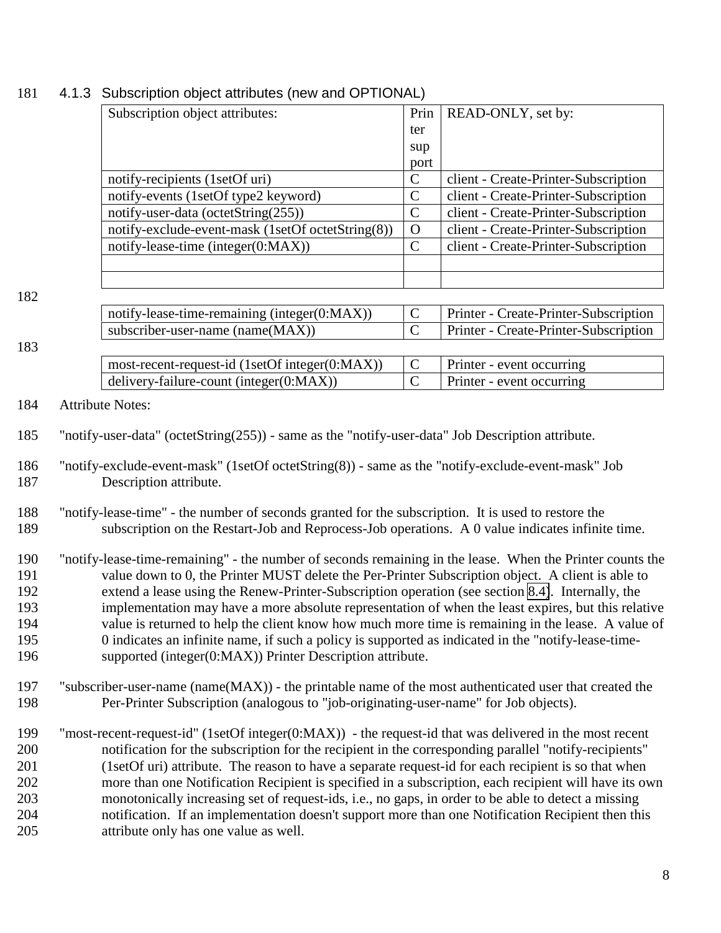|     | Subscription object attributes:                                                                           | Prin           | READ-ONLY, set by:                    |
|-----|-----------------------------------------------------------------------------------------------------------|----------------|---------------------------------------|
|     |                                                                                                           | ter            |                                       |
|     |                                                                                                           | sup            |                                       |
|     |                                                                                                           | port           |                                       |
|     | notify-recipients (1setOf uri)                                                                            | $\mathsf C$    | client - Create-Printer-Subscription  |
|     | notify-events (1setOf type2 keyword)                                                                      | $\mathbf C$    | client - Create-Printer-Subscription  |
|     | notify-user-data (octetString(255))                                                                       | $\mathbf C$    | client - Create-Printer-Subscription  |
|     | notify-exclude-event-mask (1setOf octetString(8))                                                         | $\overline{O}$ | client - Create-Printer-Subscription  |
|     | notify-lease-time (integer(0:MAX))                                                                        | $\mathbf C$    | client - Create-Printer-Subscription  |
|     |                                                                                                           |                |                                       |
|     |                                                                                                           |                |                                       |
| 182 |                                                                                                           |                |                                       |
|     | notify-lease-time-remaining (integer(0:MAX))                                                              | $\mathsf C$    | Printer - Create-Printer-Subscription |
|     | subscriber-user-name (name(MAX))                                                                          | $\mathsf{C}$   | Printer - Create-Printer-Subscription |
| 183 |                                                                                                           |                |                                       |
|     | most-recent-request-id (1setOf integer(0:MAX))                                                            | $\mathbf C$    | Printer - event occurring             |
|     | delivery-failure-count (integer(0:MAX))                                                                   | $\overline{C}$ | Printer - event occurring             |
|     |                                                                                                           |                |                                       |
| 184 | <b>Attribute Notes:</b>                                                                                   |                |                                       |
| 185 | "notify-user-data" (octetString(255)) - same as the "notify-user-data" Job Description attribute.         |                |                                       |
| 186 | "notify-exclude-event-mask" (1setOf octetString(8)) - same as the "notify-exclude-event-mask" Job         |                |                                       |
| 187 |                                                                                                           |                |                                       |
|     | Description attribute.                                                                                    |                |                                       |
| 188 | "notify-lease-time" - the number of seconds granted for the subscription. It is used to restore the       |                |                                       |
| 189 | subscription on the Restart-Job and Reprocess-Job operations. A 0 value indicates infinite time.          |                |                                       |
|     |                                                                                                           |                |                                       |
| 190 | "notify-lease-time-remaining" - the number of seconds remaining in the lease. When the Printer counts the |                |                                       |
| 191 | value down to 0, the Printer MUST delete the Per-Printer Subscription object. A client is able to         |                |                                       |
| 192 | extend a lease using the Renew-Printer-Subscription operation (see section 8.4). Internally, the          |                |                                       |
| 193 | implementation may have a more absolute representation of when the least expires, but this relative       |                |                                       |
| 194 | value is returned to help the client know how much more time is remaining in the lease. A value of        |                |                                       |
|     |                                                                                                           |                |                                       |
| 195 | 0 indicates an infinite name, if such a policy is supported as indicated in the "notify-lease-time-       |                |                                       |
| 196 | supported (integer(0:MAX)) Printer Description attribute.                                                 |                |                                       |
|     |                                                                                                           |                |                                       |
| 197 | "subscriber-user-name (name(MAX)) - the printable name of the most authenticated user that created the    |                |                                       |
| 198 | Per-Printer Subscription (analogous to "job-originating-user-name" for Job objects).                      |                |                                       |
| 199 | "most-recent-request-id" (1setOf integer(0:MAX)) - the request-id that was delivered in the most recent   |                |                                       |
| 200 | notification for the subscription for the recipient in the corresponding parallel "notify-recipients"     |                |                                       |
|     |                                                                                                           |                |                                       |
| 201 | (1set Of uri) attribute. The reason to have a separate request-id for each recipient is so that when      |                |                                       |
| 202 | more than one Notification Recipient is specified in a subscription, each recipient will have its own     |                |                                       |
| 203 | monotonically increasing set of request-ids, i.e., no gaps, in order to be able to detect a missing       |                |                                       |
| 204 | notification. If an implementation doesn't support more than one Notification Recipient then this         |                |                                       |
| 205 | attribute only has one value as well.                                                                     |                |                                       |

# <span id="page-7-0"></span>4.1.3 Subscription object attributes (new and OPTIONAL)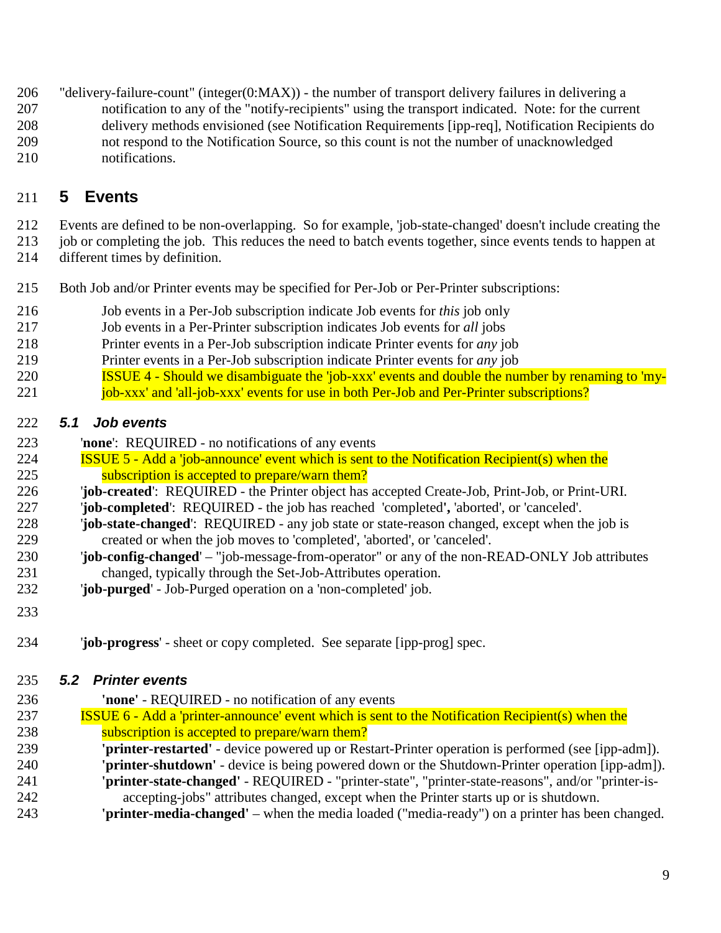- <span id="page-8-0"></span>"delivery-failure-count" (integer(0:MAX)) - the number of transport delivery failures in delivering a
- notification to any of the "notify-recipients" using the transport indicated. Note: for the current
- delivery methods envisioned (see Notification Requirements [ipp-req], Notification Recipients do
- not respond to the Notification Source, so this count is not the number of unacknowledged notifications.

# **5 Events**

Events are defined to be non-overlapping. So for example, 'job-state-changed' doesn't include creating the

- job or completing the job. This reduces the need to batch events together, since events tends to happen at
- different times by definition.
- Both Job and/or Printer events may be specified for Per-Job or Per-Printer subscriptions:
- Job events in a Per-Job subscription indicate Job events for *this* job only
- Job events in a Per-Printer subscription indicates Job events for *all* jobs
- Printer events in a Per-Job subscription indicate Printer events for *any* job
- Printer events in a Per-Job subscription indicate Printer events for *any* job
- **ISSUE 4 Should we disambiguate the 'job-xxx' events and double the number by renaming to 'my-**
- 221 job-xxx' and 'all-job-xxx' events for use in both Per-Job and Per-Printer subscriptions?

## *5.1 Job events*

- '**none**': REQUIRED no notifications of any events
- ISSUE 5 Add a 'job-announce' event which is sent to the Notification Recipient(s) when the 225 subscription is accepted to prepare/warn them?
- '**job-created**': REQUIRED the Printer object has accepted Create-Job, Print-Job, or Print-URI.
- '**job-completed**': REQUIRED the job has reached 'completed**',** 'aborted', or 'canceled'.
- '**job-state-changed**': REQUIRED any job state or state-reason changed, except when the job is created or when the job moves to 'completed', 'aborted', or 'canceled'.
- '**job-config-changed**' "job-message-from-operator" or any of the non-READ-ONLY Job attributes changed, typically through the Set-Job-Attributes operation.
- '**job-purged**' Job-Purged operation on a 'non-completed' job.
- 

'**job-progress**' - sheet or copy completed. See separate [ipp-prog] spec.

## *5.2 Printer events*

- **'none'** REQUIRED no notification of any events
- ISSUE 6 Add a 'printer-announce' event which is sent to the Notification Recipient(s) when the **Subscription is accepted to prepare/warn them?**
- **'printer-restarted'** device powered up or Restart-Printer operation is performed (see [ipp-adm]).
- **'printer-shutdown'**  device is being powered down or the Shutdown-Printer operation [ipp-adm]). **'printer-state-changed'** - REQUIRED - "printer-state", "printer-state-reasons", and/or "printer-is-
- accepting-jobs" attributes changed, except when the Printer starts up or is shutdown.
- **'printer-media-changed'** when the media loaded ("media-ready") on a printer has been changed.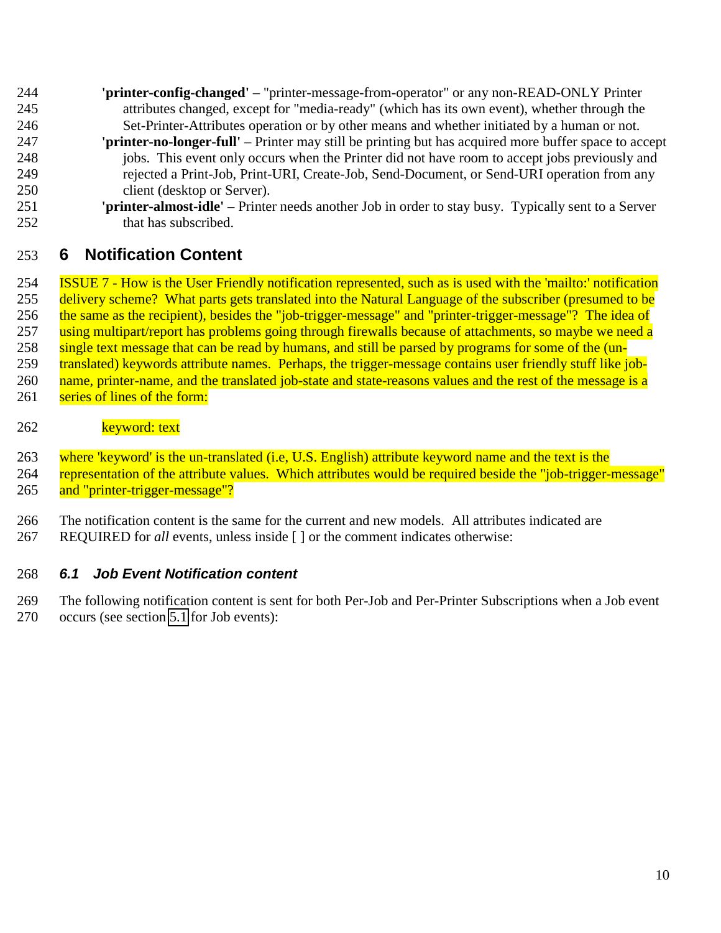- <span id="page-9-0"></span> **'printer-config-changed'** – "printer-message-from-operator" or any non-READ-ONLY Printer attributes changed, except for "media-ready" (which has its own event), whether through the Set-Printer-Attributes operation or by other means and whether initiated by a human or not.
- **'printer-no-longer-full'** Printer may still be printing but has acquired more buffer space to accept 248 iobs. This event only occurs when the Printer did not have room to accept jobs previously and rejected a Print-Job, Print-URI, Create-Job, Send-Document, or Send-URI operation from any client (desktop or Server).
- **'printer-almost-idle'** Printer needs another Job in order to stay busy. Typically sent to a Server 252 that has subscribed.

# **6 Notification Content**

 ISSUE 7 - How is the User Friendly notification represented, such as is used with the 'mailto:' notification 255 delivery scheme? What parts gets translated into the Natural Language of the subscriber (presumed to be 256 the same as the recipient), besides the "job-trigger-message" and "printer-trigger-message"? The idea of 257 using multipart/report has problems going through firewalls because of attachments, so maybe we need a single text message that can be read by humans, and still be parsed by programs for some of the (un-259 translated) keywords attribute names. Perhaps, the trigger-message contains user friendly stuff like job-260 name, printer-name, and the translated job-state and state-reasons values and the rest of the message is a 261 series of lines of the form:

### 262 keyword: text

 where 'keyword' is the un-translated (i.e, U.S. English) attribute keyword name and the text is the 264 representation of the attribute values. Which attributes would be required beside the "job-trigger-message" 265 and "printer-trigger-message"?

- The notification content is the same for the current and new models. All attributes indicated are
- REQUIRED for *all* events, unless inside [ ] or the comment indicates otherwise:

## *6.1 Job Event Notification content*

 The following notification content is sent for both Per-Job and Per-Printer Subscriptions when a Job event occurs (see section [5.1](#page-8-0) for Job events):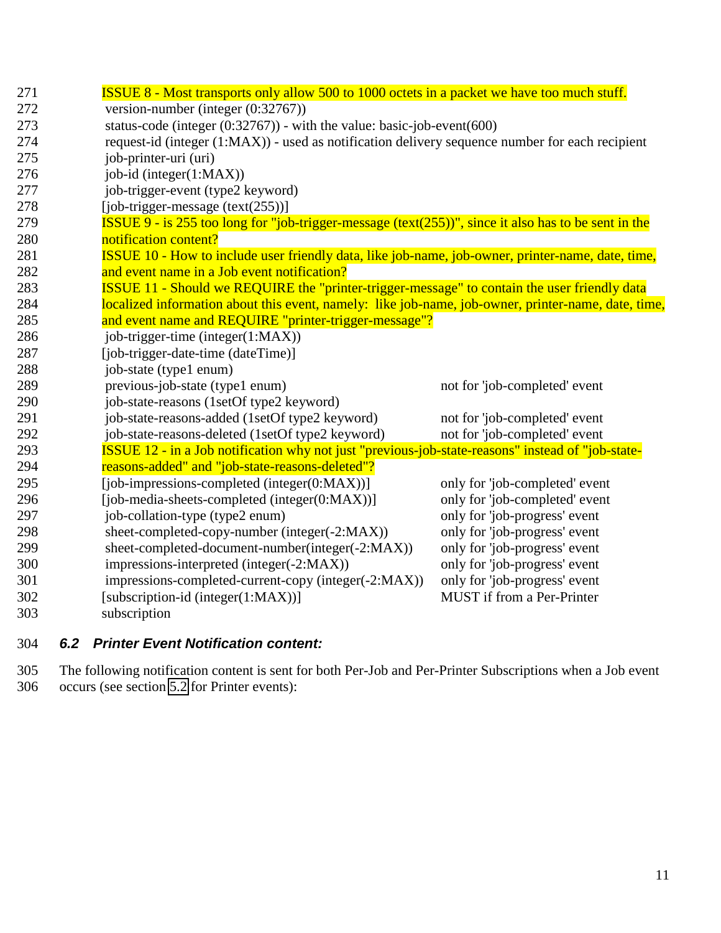<span id="page-10-0"></span>

| 271 | <b>ISSUE 8 - Most transports only allow 500 to 1000 octets in a packet we have too much stuff.</b>              |                                |  |
|-----|-----------------------------------------------------------------------------------------------------------------|--------------------------------|--|
| 272 | version-number (integer $(0.32767)$ )                                                                           |                                |  |
| 273 | status-code (integer $(0.32767)$ ) - with the value: basic-job-event $(600)$                                    |                                |  |
| 274 | request-id (integer (1:MAX)) - used as notification delivery sequence number for each recipient                 |                                |  |
| 275 | job-printer-uri (uri)                                                                                           |                                |  |
| 276 | job-id (integer(1:MAX))                                                                                         |                                |  |
| 277 | job-trigger-event (type2 keyword)                                                                               |                                |  |
| 278 | $[job-trigger-message (text(255))]$                                                                             |                                |  |
| 279 | <b>ISSUE 9</b> - is 255 too long for "job-trigger-message (text( $255$ ))", since it also has to be sent in the |                                |  |
| 280 | notification content?                                                                                           |                                |  |
| 281 | ISSUE 10 - How to include user friendly data, like job-name, job-owner, printer-name, date, time,               |                                |  |
| 282 | and event name in a Job event notification?                                                                     |                                |  |
| 283 | <b>ISSUE 11 - Should we REQUIRE the "printer-trigger-message" to contain the user friendly data</b>             |                                |  |
| 284 | localized information about this event, namely: like job-name, job-owner, printer-name, date, time,             |                                |  |
| 285 | and event name and REQUIRE "printer-trigger-message"?                                                           |                                |  |
| 286 | job-trigger-time (integer(1:MAX))                                                                               |                                |  |
| 287 | [job-trigger-date-time (dateTime)]                                                                              |                                |  |
| 288 | job-state (type1 enum)                                                                                          |                                |  |
| 289 | previous-job-state (type1 enum)                                                                                 | not for 'job-completed' event  |  |
| 290 | job-state-reasons (1setOf type2 keyword)                                                                        |                                |  |
| 291 | job-state-reasons-added (1setOf type2 keyword)                                                                  | not for 'job-completed' event  |  |
| 292 | job-state-reasons-deleted (1setOf type2 keyword)                                                                | not for 'job-completed' event  |  |
| 293 | ISSUE 12 - in a Job notification why not just "previous-job-state-reasons" instead of "job-state-               |                                |  |
| 294 | reasons-added" and "job-state-reasons-deleted"?                                                                 |                                |  |
| 295 | [job-impressions-completed (integer(0:MAX))]                                                                    | only for 'job-completed' event |  |
| 296 | [job-media-sheets-completed (integer(0:MAX))]                                                                   | only for 'job-completed' event |  |
| 297 | job-collation-type (type2 enum)                                                                                 | only for 'job-progress' event  |  |
| 298 | sheet-completed-copy-number (integer(-2:MAX))                                                                   | only for 'job-progress' event  |  |
| 299 | sheet-completed-document-number(integer(-2:MAX))                                                                | only for 'job-progress' event  |  |
| 300 | impressions-interpreted (integer(-2:MAX))                                                                       | only for 'job-progress' event  |  |
| 301 | impressions-completed-current-copy (integer(-2:MAX))                                                            | only for 'job-progress' event  |  |
| 302 | [subscription-id (integer(1:MAX))]                                                                              | MUST if from a Per-Printer     |  |
| 303 | subscription                                                                                                    |                                |  |

# 304 *6.2 Printer Event Notification content:*

305 The following notification content is sent for both Per-Job and Per-Printer Subscriptions when a Job event 306 occurs (see section [5.2](#page-8-0) for Printer events):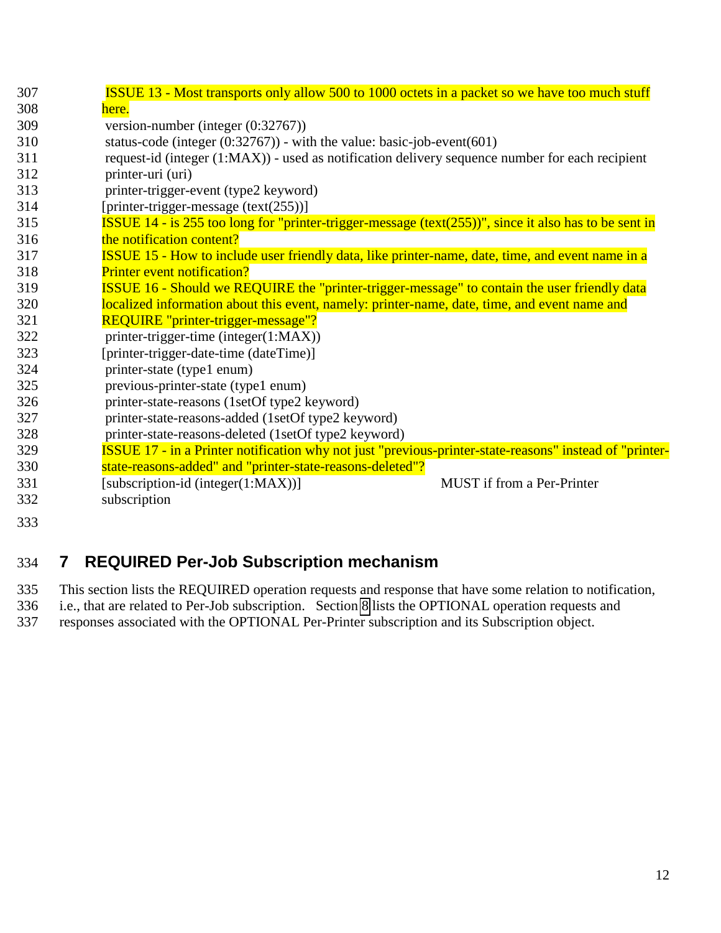<span id="page-11-0"></span>

| 307 | <b>ISSUE 13 - Most transports only allow 500 to 1000 octets in a packet so we have too much stuff</b>            |
|-----|------------------------------------------------------------------------------------------------------------------|
| 308 | here.                                                                                                            |
| 309 | version-number (integer (0:32767))                                                                               |
| 310 | status-code (integer $(0:32767)$ ) - with the value: basic-job-event(601)                                        |
| 311 | request-id (integer (1:MAX)) - used as notification delivery sequence number for each recipient                  |
| 312 | printer-uri (uri)                                                                                                |
| 313 | printer-trigger-event (type2 keyword)                                                                            |
| 314 | [printer-trigger-message (text(255))]                                                                            |
| 315 | <b>ISSUE</b> 14 - is 255 too long for "printer-trigger-message (text( $255$ ))", since it also has to be sent in |
| 316 | the notification content?                                                                                        |
| 317 | <b>ISSUE 15 - How to include user friendly data, like printer-name, date, time, and event name in a</b>          |
| 318 | <b>Printer event notification?</b>                                                                               |
| 319 | <b>ISSUE 16 - Should we REQUIRE the "printer-trigger-message" to contain the user friendly data</b>              |
| 320 | localized information about this event, namely: printer-name, date, time, and event name and                     |
| 321 | REQUIRE "printer-trigger-message"?                                                                               |
| 322 | printer-trigger-time (integer(1:MAX))                                                                            |
| 323 | [printer-trigger-date-time (dateTime)]                                                                           |
| 324 | printer-state (type1 enum)                                                                                       |
| 325 | previous-printer-state (type1 enum)                                                                              |
| 326 | printer-state-reasons (1setOf type2 keyword)                                                                     |
| 327 | printer-state-reasons-added (1setOf type2 keyword)                                                               |
| 328 | printer-state-reasons-deleted (1setOf type2 keyword)                                                             |
| 329 | ISSUE 17 - in a Printer notification why not just "previous-printer-state-reasons" instead of "printer-          |
| 330 | state-reasons-added" and "printer-state-reasons-deleted"?                                                        |
| 331 | [subscription-id (integer(1:MAX))]<br><b>MUST</b> if from a Per-Printer                                          |
| 332 | subscription                                                                                                     |
| 333 |                                                                                                                  |
|     |                                                                                                                  |

# 334 **7 REQUIRED Per-Job Subscription mechanism**

335 This section lists the REQUIRED operation requests and response that have some relation to notification,

336 i.e., that are related to Per-Job subscription. Section [8](#page-12-0) lists the OPTIONAL operation requests and

337 responses associated with the OPTIONAL Per-Printer subscription and its Subscription object.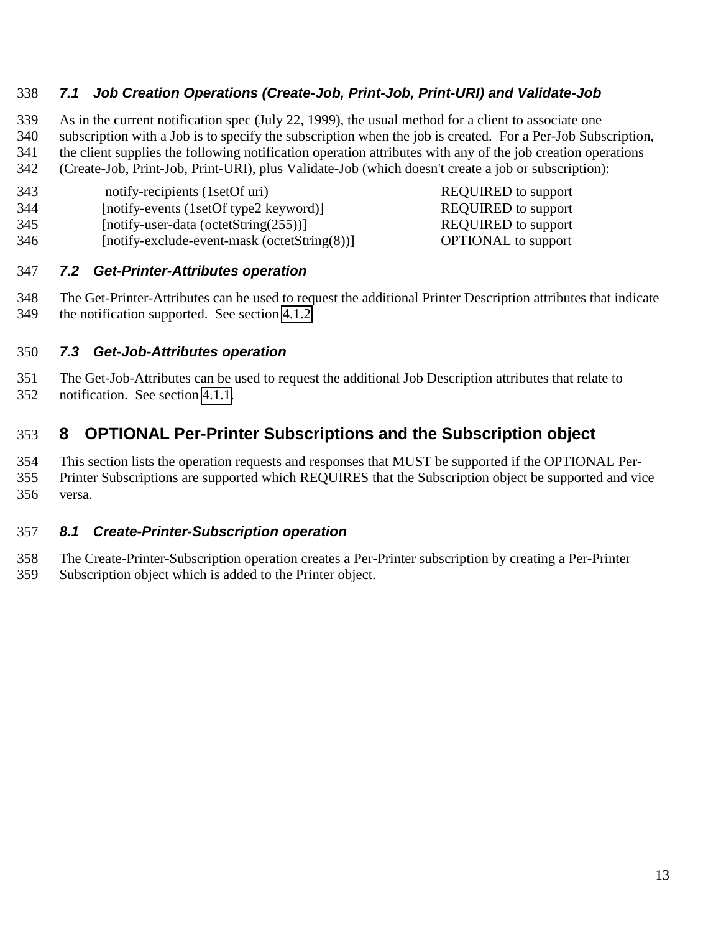## <span id="page-12-0"></span>*7.1 Job Creation Operations (Create-Job, Print-Job, Print-URI) and Validate-Job*

 As in the current notification spec (July 22, 1999), the usual method for a client to associate one subscription with a Job is to specify the subscription when the job is created. For a Per-Job Subscription, the client supplies the following notification operation attributes with any of the job creation operations (Create-Job, Print-Job, Print-URI), plus Validate-Job (which doesn't create a job or subscription):

- 343 notify-recipients (1setOf uri) REQUIRED to support
- 344 [notify-events (1setOf type2 keyword)] REQUIRED to support
- 345 [notify-user-data (octetString(255))] REQUIRED to support
- 346 [notify-exclude-event-mask (octetString(8))] OPTIONAL to support

### *7.2 Get-Printer-Attributes operation*

 The Get-Printer-Attributes can be used to request the additional Printer Description attributes that indicate the notification supported. See section [4.1.2.](#page-6-0)

### *7.3 Get-Job-Attributes operation*

 The Get-Job-Attributes can be used to request the additional Job Description attributes that relate to notification. See section [4.1.1.](#page-5-0)

# **8 OPTIONAL Per-Printer Subscriptions and the Subscription object**

 This section lists the operation requests and responses that MUST be supported if the OPTIONAL Per- Printer Subscriptions are supported which REQUIRES that the Subscription object be supported and vice versa.

## *8.1 Create-Printer-Subscription operation*

The Create-Printer-Subscription operation creates a Per-Printer subscription by creating a Per-Printer

Subscription object which is added to the Printer object.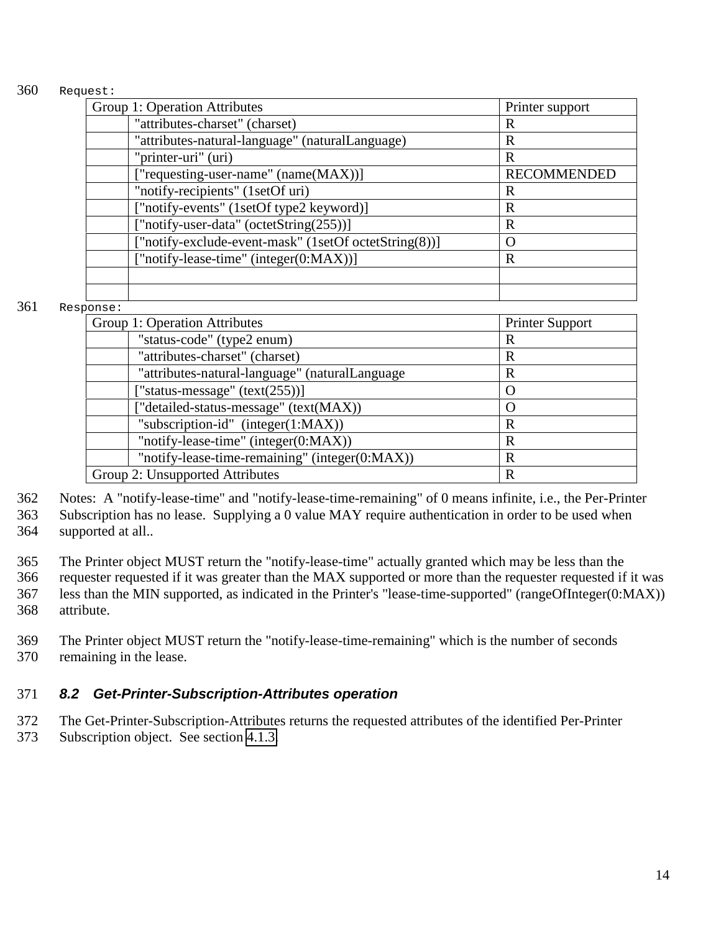#### <span id="page-13-0"></span>360 Request:

| Group 1: Operation Attributes                         | Printer support    |
|-------------------------------------------------------|--------------------|
| "attributes-charset" (charset)                        | R                  |
| "attributes-natural-language" (naturalLanguage)       | R                  |
| "printer-uri" (uri)                                   | R                  |
| ["requesting-user-name" (name(MAX))]                  | <b>RECOMMENDED</b> |
| "notify-recipients" (1setOf uri)                      | R                  |
| ["notify-events" (1setOf type2 keyword)]              | R                  |
| ["notify-user-data" (octetString(255))]               | R                  |
| ["notify-exclude-event-mask" (1setOf octetString(8))] | $\left( \right)$   |
| ["notify-lease-time" (integer(0:MAX))]                | $\mathbf R$        |
|                                                       |                    |
|                                                       |                    |

#### 361 Response:

| Group 1: Operation Attributes<br><b>Printer Support</b> |   |  |  |
|---------------------------------------------------------|---|--|--|
| "status-code" (type2 enum)                              | R |  |  |
| "attributes-charset" (charset)                          | R |  |  |
| "attributes-natural-language" (naturalLanguage          | R |  |  |
| ["status-message" $(text(255))]$                        |   |  |  |
| ["detailed-status-message" (text(MAX))                  |   |  |  |
| "subscription-id" (integer $(1:MAX)$ )                  | R |  |  |
| "notify-lease-time" (integer(0:MAX))                    | R |  |  |
| "notify-lease-time-remaining" (integer(0:MAX))          | R |  |  |
| Group 2: Unsupported Attributes<br>R                    |   |  |  |

362 Notes: A "notify-lease-time" and "notify-lease-time-remaining" of 0 means infinite, i.e., the Per-Printer 363 Subscription has no lease. Supplying a 0 value MAY require authentication in order to be used when 364 supported at all..

365 The Printer object MUST return the "notify-lease-time" actually granted which may be less than the

366 requester requested if it was greater than the MAX supported or more than the requester requested if it was 367 less than the MIN supported, as indicated in the Printer's "lease-time-supported" (rangeOfInteger(0:MAX)) 368 attribute.

369 The Printer object MUST return the "notify-lease-time-remaining" which is the number of seconds 370 remaining in the lease.

### 371 *8.2 Get-Printer-Subscription-Attributes operation*

372 The Get-Printer-Subscription-Attributes returns the requested attributes of the identified Per-Printer

373 Subscription object. See section [4.1.3.](#page-7-0)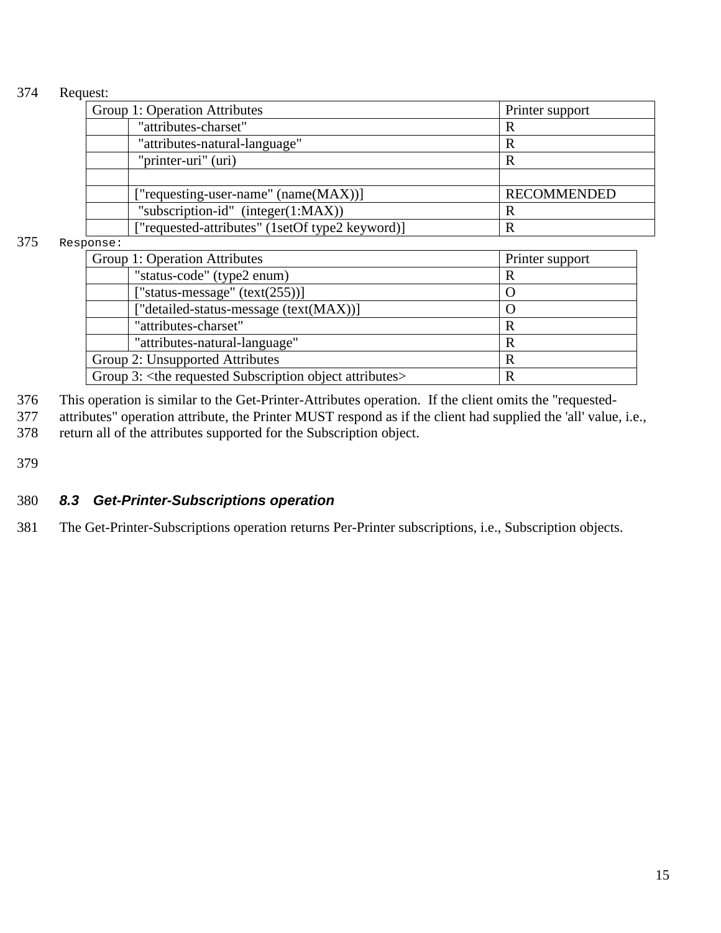#### <span id="page-14-0"></span>374 Request:

| Group 1: Operation Attributes                   | Printer support    |
|-------------------------------------------------|--------------------|
| "attributes-charset"                            | R                  |
| "attributes-natural-language"                   | R                  |
| "printer-uri" (uri)                             | R                  |
|                                                 |                    |
| ["requesting-user-name" (name(MAX))]            | <b>RECOMMENDED</b> |
| "subscription-id" $(integer(1:MAX))$            | R                  |
| ["requested-attributes" (1setOf type2 keyword)] | R                  |

#### 375 Response:

| Group 1: Operation Attributes                                                   | Printer support |  |
|---------------------------------------------------------------------------------|-----------------|--|
| "status-code" (type2 enum)                                                      | R               |  |
| ["status-message" $(text(255))]$                                                |                 |  |
| ["detailed-status-message (text(MAX))]                                          |                 |  |
| "attributes-charset"                                                            | R               |  |
| "attributes-natural-language"                                                   | R               |  |
| Group 2: Unsupported Attributes<br>R                                            |                 |  |
| Group 3: <the attributes="" object="" requested="" subscription=""><br/>R</the> |                 |  |

376 This operation is similar to the Get-Printer-Attributes operation. If the client omits the "requested-

377 attributes" operation attribute, the Printer MUST respond as if the client had supplied the 'all' value, i.e.,

378 return all of the attributes supported for the Subscription object.

379

## 380 *8.3 Get-Printer-Subscriptions operation*

381 The Get-Printer-Subscriptions operation returns Per-Printer subscriptions, i.e., Subscription objects.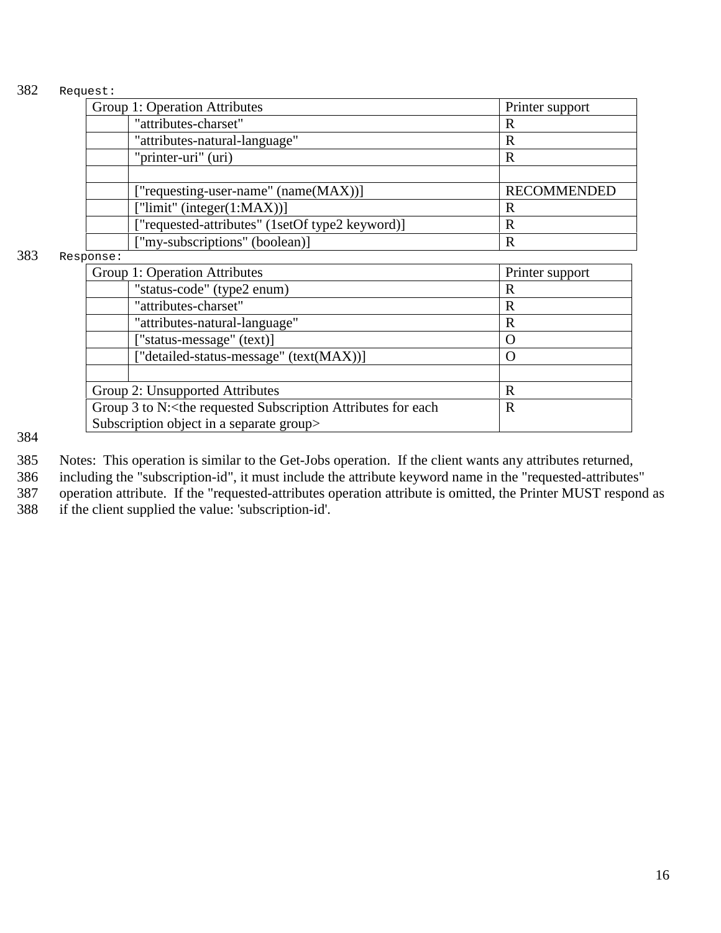#### 382 Request:

|     | Group 1: Operation Attributes                   | Printer support    |
|-----|-------------------------------------------------|--------------------|
|     | "attributes-charset"                            | R                  |
|     | "attributes-natural-language"                   | $\mathbb{R}$       |
|     | "printer-uri" (uri)                             | $\mathbb{R}$       |
|     |                                                 |                    |
|     | ["requesting-user-name" (name(MAX))]            | <b>RECOMMENDED</b> |
|     | ["limit" (integer(1:MAX))]                      | $\mathbf R$        |
|     | ["requested-attributes" (1setOf type2 keyword)] | R                  |
|     | ["my-subscriptions" (boolean)]                  | $\mathbf R$        |
| 383 | Response:                                       |                    |
|     | Group 1: Operation Attributes                   | Printer support    |
|     | "status-code" (type2 enum)                      | $\mathbb{R}$       |
|     | "attributes-charset"                            | $\mathbb{R}$       |
|     | "attributes-natural-language"                   | $\mathbb{R}$       |
|     | ["status-message" (text)]                       | $\left( \right)$   |
|     | ["detailed-status-message" (text(MAX))]         | O                  |

| ["detailed-status-message" (text(MAX))]                                                             |  |
|-----------------------------------------------------------------------------------------------------|--|
|                                                                                                     |  |
| Group 2: Unsupported Attributes                                                                     |  |
| Group 3 to N: <the attributes="" each<="" for="" requested="" subscription="" td=""><td></td></the> |  |
| Subscription object in a separate group>                                                            |  |

384

385 Notes: This operation is similar to the Get-Jobs operation. If the client wants any attributes returned,

386 including the "subscription-id", it must include the attribute keyword name in the "requested-attributes"

387 operation attribute. If the "requested-attributes operation attribute is omitted, the Printer MUST respond as if the client supplied the value: 'subscription-id'.

if the client supplied the value: 'subscription-id'.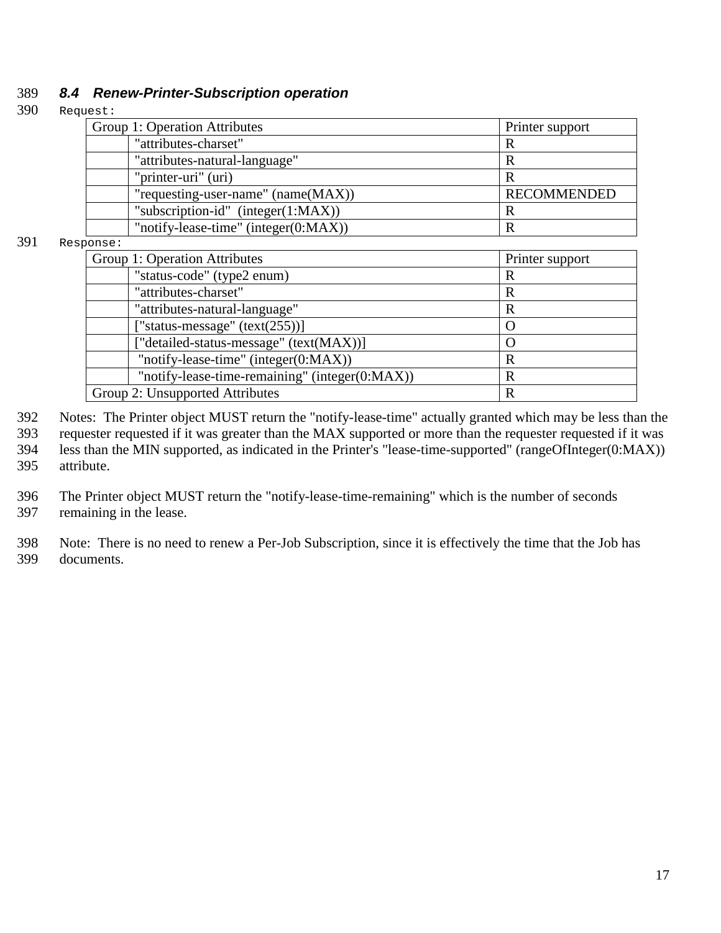#### <span id="page-16-0"></span>389 *8.4 Renew-Printer-Subscription operation*

#### 390 Request:

| Group 1: Operation Attributes        | Printer support    |
|--------------------------------------|--------------------|
| "attributes-charset"                 | R                  |
| "attributes-natural-language"        |                    |
| "printer-uri" (uri)                  | R                  |
| "requesting-user-name" (name(MAX))   | <b>RECOMMENDED</b> |
| "subscription-id" (integer(1:MAX))   | R                  |
| "notify-lease-time" (integer(0:MAX)) |                    |

#### 391 Response:

| ulioc .                                          |   |  |
|--------------------------------------------------|---|--|
| Group 1: Operation Attributes<br>Printer support |   |  |
| "status-code" (type2 enum)                       | R |  |
| "attributes-charset"                             | R |  |
| "attributes-natural-language"                    | R |  |
| ["status-message" $(text(255))]$                 |   |  |
| ["detailed-status-message" (text(MAX))]          |   |  |
| "notify-lease-time" (integer(0:MAX))             | R |  |
| "notify-lease-time-remaining" (integer(0:MAX))   | R |  |
| Group 2: Unsupported Attributes                  | R |  |
|                                                  |   |  |

 Notes: The Printer object MUST return the "notify-lease-time" actually granted which may be less than the requester requested if it was greater than the MAX supported or more than the requester requested if it was less than the MIN supported, as indicated in the Printer's "lease-time-supported" (rangeOfInteger(0:MAX)) attribute.

396 The Printer object MUST return the "notify-lease-time-remaining" which is the number of seconds 397 remaining in the lease.

398 Note: There is no need to renew a Per-Job Subscription, since it is effectively the time that the Job has 399 documents.